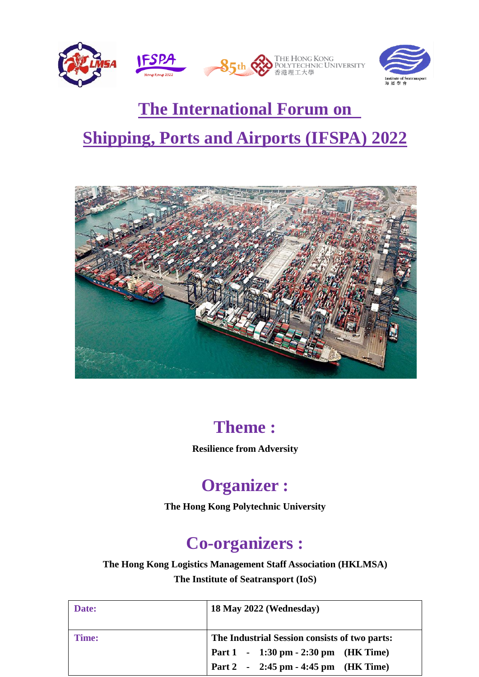

# **The International Forum on Shipping, Ports and Airports (IFSPA) 2022**



## **Theme :**

**Resilience from Adversity**

## **Organizer :**

**The Hong Kong Polytechnic University**

## **Co-organizers :**

**The Hong Kong Logistics Management Staff Association (HKLMSA) The Institute of Seatransport (IoS)**

| Date:        | 18 May 2022 (Wednesday)                       |
|--------------|-----------------------------------------------|
| <b>Time:</b> | The Industrial Session consists of two parts: |
|              | Part 1 - 1:30 pm - 2:30 pm (HK Time)          |
|              | Part 2 - 2:45 pm - 4:45 pm (HK Time)          |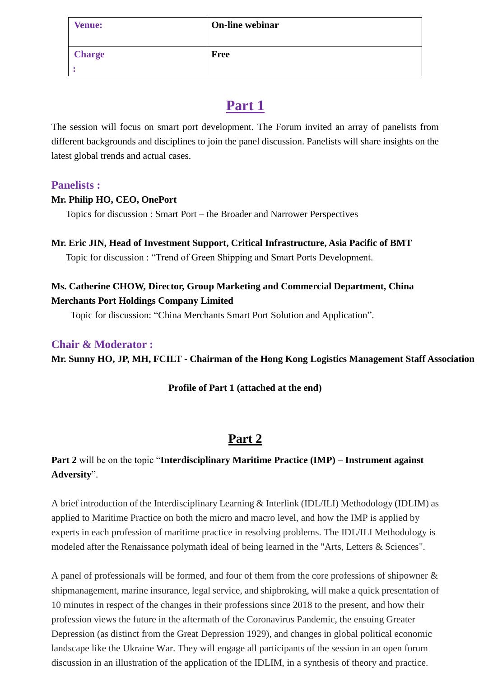| <b>Venue:</b> | On-line webinar |
|---------------|-----------------|
| <b>Charge</b> | <b>Free</b>     |
|               |                 |

## **Part 1**

The session will focus on smart port development. The Forum invited an array of panelists from different backgrounds and disciplines to join the panel discussion. Panelists will share insights on the latest global trends and actual cases.

#### **Panelists :**

#### **Mr. Philip HO, CEO, OnePort**

Topics for discussion : Smart Port – the Broader and Narrower Perspectives

#### **Mr. Eric JIN, Head of Investment Support, Critical Infrastructure, Asia Pacific of BMT**

Topic for discussion : "Trend of Green Shipping and Smart Ports Development.

#### **Ms. Catherine CHOW, Director, Group Marketing and Commercial Department, China Merchants Port Holdings Company Limited**

Topic for discussion: "China Merchants Smart Port Solution and Application".

#### **Chair & Moderator :**

**Mr. Sunny HO, JP, MH, FCILT - Chairman of the Hong Kong Logistics Management Staff Association**

#### **Profile of Part 1 (attached at the end)**

### **Part 2**

#### **Part 2** will be on the topic "**Interdisciplinary Maritime Practice (IMP) – Instrument against Adversity**".

A brief introduction of the Interdisciplinary Learning & Interlink (IDL/ILI) Methodology (IDLIM) as applied to Maritime Practice on both the micro and macro level, and how the IMP is applied by experts in each profession of maritime practice in resolving problems. The IDL/ILI Methodology is modeled after the Renaissance polymath ideal of being learned in the "Arts, Letters & Sciences".

A panel of professionals will be formed, and four of them from the core professions of shipowner & shipmanagement, marine insurance, legal service, and shipbroking, will make a quick presentation of 10 minutes in respect of the changes in their professions since 2018 to the present, and how their profession views the future in the aftermath of the Coronavirus Pandemic, the ensuing Greater Depression (as distinct from the Great Depression 1929), and changes in global political economic landscape like the Ukraine War. They will engage all participants of the session in an open forum discussion in an illustration of the application of the IDLIM, in a synthesis of theory and practice.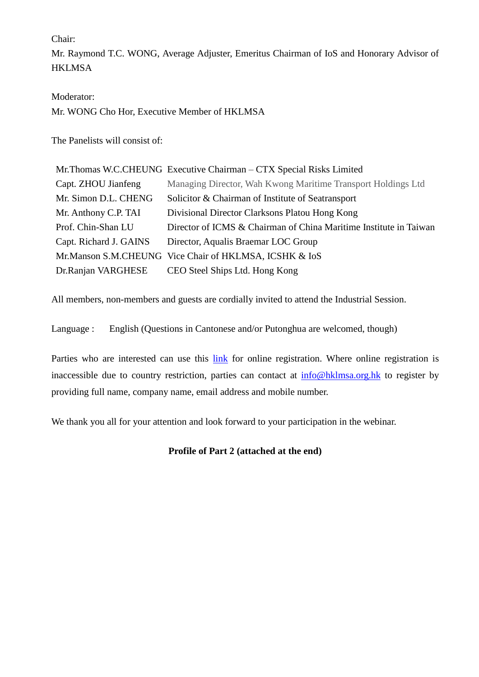Chair:

Mr. Raymond T.C. WONG, Average Adjuster, Emeritus Chairman of IoS and Honorary Advisor of **HKLMSA** 

Moderator: Mr. WONG Cho Hor, Executive Member of HKLMSA

The Panelists will consist of:

|                        | Mr. Thomas W.C.CHEUNG Executive Chairman – CTX Special Risks Limited |
|------------------------|----------------------------------------------------------------------|
| Capt. ZHOU Jianfeng    | Managing Director, Wah Kwong Maritime Transport Holdings Ltd         |
| Mr. Simon D.L. CHENG   | Solicitor & Chairman of Institute of Seatransport                    |
| Mr. Anthony C.P. TAI   | Divisional Director Clarksons Platou Hong Kong                       |
| Prof. Chin-Shan LU     | Director of ICMS & Chairman of China Maritime Institute in Taiwan    |
| Capt. Richard J. GAINS | Director, Aqualis Braemar LOC Group                                  |
|                        | Mr.Manson S.M.CHEUNG Vice Chair of HKLMSA, ICSHK & IoS               |
| Dr.Ranjan VARGHESE     | CEO Steel Ships Ltd. Hong Kong                                       |

All members, non-members and guests are cordially invited to attend the Industrial Session.

Language : English (Questions in Cantonese and/or Putonghua are welcomed, though)

Parties who are interested can use this [link](https://forms.gle/NgnJdraJGFqM827F7) for online registration. Where online registration is inaccessible due to country restriction, parties can contact at [info@hklmsa.org.hk](mailto:info@hklmsa.org.hk) to register by providing full name, company name, email address and mobile number.

We thank you all for your attention and look forward to your participation in the webinar.

#### **Profile of Part 2 (attached at the end)**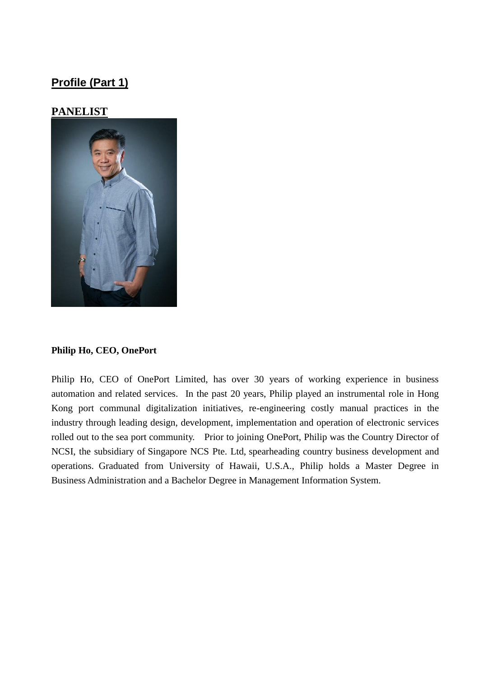### **Profile (Part 1)**

#### **PANELIST**



#### **Philip Ho, CEO, OnePort**

Philip Ho, CEO of OnePort Limited, has over 30 years of working experience in business automation and related services. In the past 20 years, Philip played an instrumental role in Hong Kong port communal digitalization initiatives, re-engineering costly manual practices in the industry through leading design, development, implementation and operation of electronic services rolled out to the sea port community. Prior to joining OnePort, Philip was the Country Director of NCSI, the subsidiary of Singapore NCS Pte. Ltd, spearheading country business development and operations. Graduated from University of Hawaii, U.S.A., Philip holds a Master Degree in Business Administration and a Bachelor Degree in Management Information System.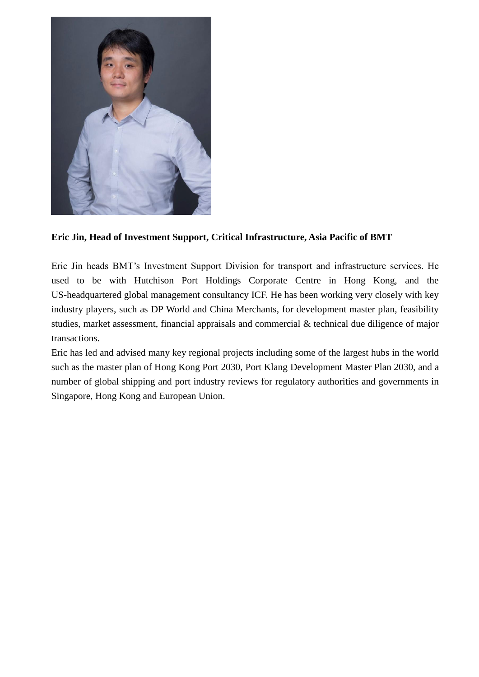

#### **Eric Jin, Head of Investment Support, Critical Infrastructure, Asia Pacific of BMT**

Eric Jin heads BMT's Investment Support Division for transport and infrastructure services. He used to be with Hutchison Port Holdings Corporate Centre in Hong Kong, and the US-headquartered global management consultancy ICF. He has been working very closely with key industry players, such as DP World and China Merchants, for development master plan, feasibility studies, market assessment, financial appraisals and commercial & technical due diligence of major transactions.

Eric has led and advised many key regional projects including some of the largest hubs in the world such as the master plan of Hong Kong Port 2030, Port Klang Development Master Plan 2030, and a number of global shipping and port industry reviews for regulatory authorities and governments in Singapore, Hong Kong and European Union.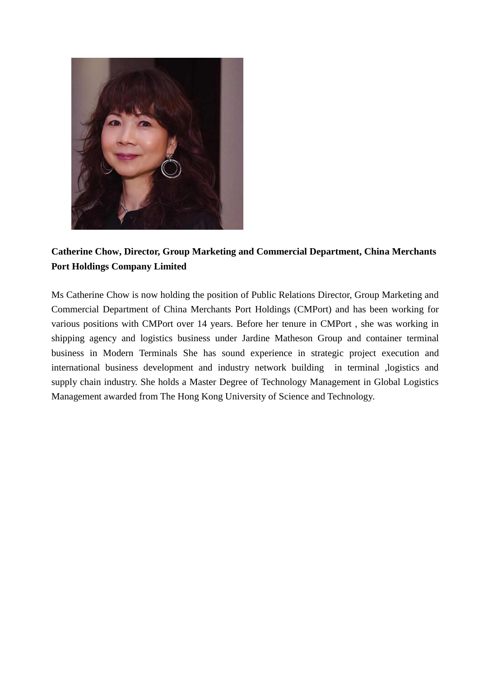

**Catherine Chow, Director, Group Marketing and Commercial Department, China Merchants Port Holdings Company Limited**

Ms Catherine Chow is now holding the position of Public Relations Director, Group Marketing and Commercial Department of China Merchants Port Holdings (CMPort) and has been working for various positions with CMPort over 14 years. Before her tenure in CMPort , she was working in shipping agency and logistics business under Jardine Matheson Group and container terminal business in Modern Terminals She has sound experience in strategic project execution and international business development and industry network building in terminal ,logistics and supply chain industry. She holds a Master Degree of Technology Management in Global Logistics Management awarded from The Hong Kong University of Science and Technology.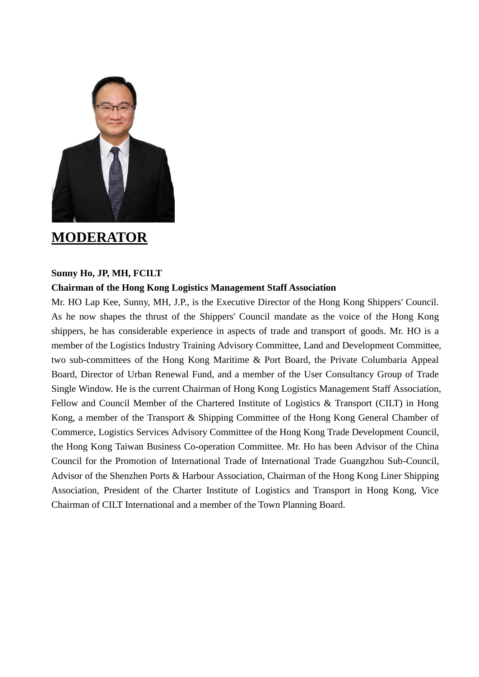

### **MODERATOR**

#### **Sunny Ho, JP, MH, FCILT**

#### **Chairman of the Hong Kong Logistics Management Staff Association**

Mr. HO Lap Kee, Sunny, MH, J.P., is the Executive Director of the Hong Kong Shippers' Council. As he now shapes the thrust of the Shippers' Council mandate as the voice of the Hong Kong shippers, he has considerable experience in aspects of trade and transport of goods. Mr. HO is a member of the Logistics Industry Training Advisory Committee, Land and Development Committee, two sub-committees of the Hong Kong Maritime & Port Board, the Private Columbaria Appeal Board, Director of Urban Renewal Fund, and a member of the User Consultancy Group of Trade Single Window. He is the current Chairman of Hong Kong Logistics Management Staff Association, Fellow and Council Member of the Chartered Institute of Logistics & Transport (CILT) in Hong Kong, a member of the Transport & Shipping Committee of the Hong Kong General Chamber of Commerce, Logistics Services Advisory Committee of the Hong Kong Trade Development Council, the Hong Kong Taiwan Business Co-operation Committee. Mr. Ho has been Advisor of the China Council for the Promotion of International Trade of International Trade Guangzhou Sub-Council, Advisor of the Shenzhen Ports & Harbour Association, Chairman of the Hong Kong Liner Shipping Association, President of the Charter Institute of Logistics and Transport in Hong Kong, Vice Chairman of CILT International and a member of the Town Planning Board.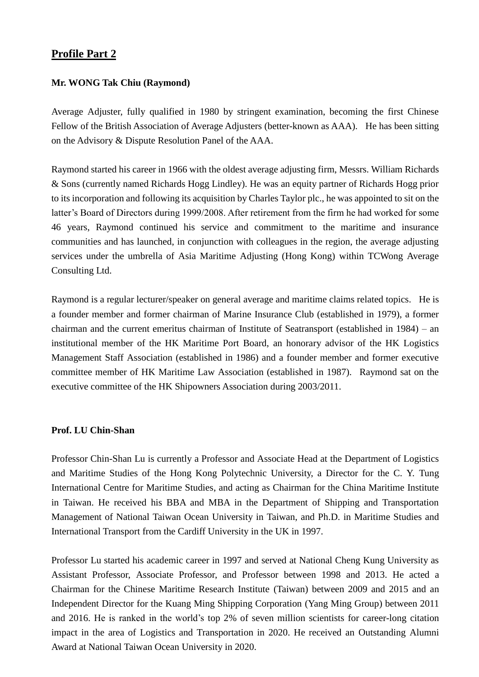#### **Profile Part 2**

#### **Mr. WONG Tak Chiu (Raymond)**

Average Adjuster, fully qualified in 1980 by stringent examination, becoming the first Chinese Fellow of the British Association of Average Adjusters (better-known as AAA). He has been sitting on the Advisory & Dispute Resolution Panel of the AAA.

Raymond started his career in 1966 with the oldest average adjusting firm, Messrs. William Richards & Sons (currently named Richards Hogg Lindley). He was an equity partner of Richards Hogg prior to its incorporation and following its acquisition by Charles Taylor plc., he was appointed to sit on the latter's Board of Directors during 1999/2008. After retirement from the firm he had worked for some 46 years, Raymond continued his service and commitment to the maritime and insurance communities and has launched, in conjunction with colleagues in the region, the average adjusting services under the umbrella of Asia Maritime Adjusting (Hong Kong) within TCWong Average Consulting Ltd.

Raymond is a regular lecturer/speaker on general average and maritime claims related topics. He is a founder member and former chairman of Marine Insurance Club (established in 1979), a former chairman and the current emeritus chairman of Institute of Seatransport (established in 1984) – an institutional member of the HK Maritime Port Board, an honorary advisor of the HK Logistics Management Staff Association (established in 1986) and a founder member and former executive committee member of HK Maritime Law Association (established in 1987). Raymond sat on the executive committee of the HK Shipowners Association during 2003/2011.

#### **Prof. LU Chin-Shan**

Professor Chin-Shan Lu is currently a Professor and Associate Head at the Department of Logistics and Maritime Studies of the Hong Kong Polytechnic University, a Director for the C. Y. Tung International Centre for Maritime Studies, and acting as Chairman for the China Maritime Institute in Taiwan. He received his BBA and MBA in the Department of Shipping and Transportation Management of National Taiwan Ocean University in Taiwan, and Ph.D. in Maritime Studies and International Transport from the Cardiff University in the UK in 1997.

Professor Lu started his academic career in 1997 and served at National Cheng Kung University as Assistant Professor, Associate Professor, and Professor between 1998 and 2013. He acted a Chairman for the Chinese Maritime Research Institute (Taiwan) between 2009 and 2015 and an Independent Director for the Kuang Ming Shipping Corporation (Yang Ming Group) between 2011 and 2016. He is ranked in the world's top 2% of seven million scientists for career-long citation impact in the area of Logistics and Transportation in 2020. He received an Outstanding Alumni Award at National Taiwan Ocean University in 2020.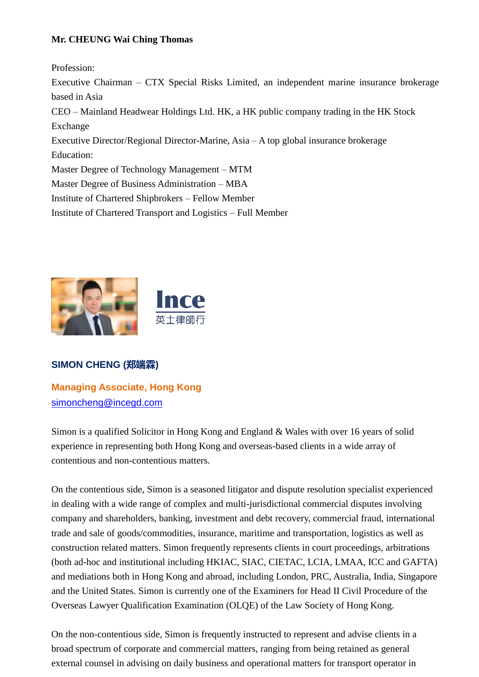#### **Mr. CHEUNG Wai Ching Thomas**

Profession:

Executive Chairman – CTX Special Risks Limited, an independent marine insurance brokerage based in Asia

CEO – Mainland Headwear Holdings Ltd. HK, a HK public company trading in the HK Stock Exchange

Executive Director/Regional Director-Marine, Asia – A top global insurance brokerage Education:

Master Degree of Technology Management – MTM

Master Degree of Business Administration – MBA

Institute of Chartered Shipbrokers – Fellow Member

Institute of Chartered Transport and Logistics – Full Member



#### **SIMON CHENG (郑端霖)**

**Managing Associate, Hong Kong** [simoncheng@incegd.com](mailto:simoncheng@incegd.com)

Simon is a qualified Solicitor in Hong Kong and England & Wales with over 16 years of solid experience in representing both Hong Kong and overseas-based clients in a wide array of contentious and non-contentious matters.

On the contentious side, Simon is a seasoned litigator and dispute resolution specialist experienced in dealing with a wide range of complex and multi-jurisdictional commercial disputes involving company and shareholders, banking, investment and debt recovery, commercial fraud, international trade and sale of goods/commodities, insurance, maritime and transportation, logistics as well as construction related matters. Simon frequently represents clients in court proceedings, arbitrations (both ad-hoc and institutional including HKIAC, SIAC, CIETAC, LCIA, LMAA, ICC and GAFTA) and mediations both in Hong Kong and abroad, including London, PRC, Australia, India, Singapore and the United States. Simon is currently one of the Examiners for Head II Civil Procedure of the Overseas Lawyer Qualification Examination (OLQE) of the Law Society of Hong Kong.

On the non-contentious side, Simon is frequently instructed to represent and advise clients in a broad spectrum of corporate and commercial matters, ranging from being retained as general external counsel in advising on daily business and operational matters for transport operator in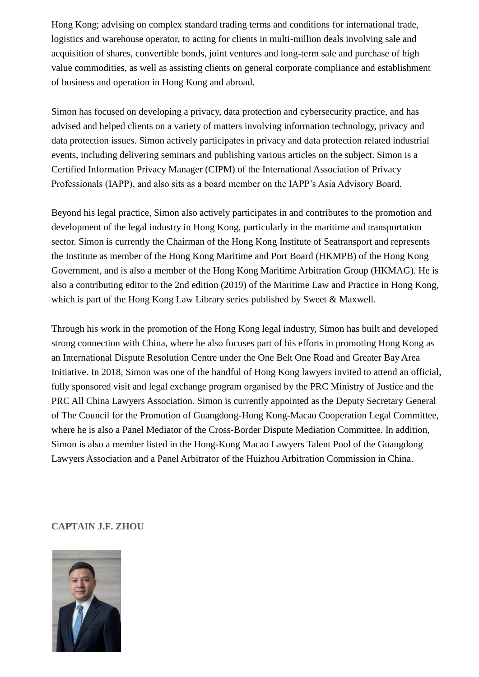Hong Kong; advising on complex standard trading terms and conditions for international trade, logistics and warehouse operator, to acting for clients in multi-million deals involving sale and acquisition of shares, convertible bonds, joint ventures and long-term sale and purchase of high value commodities, as well as assisting clients on general corporate compliance and establishment of business and operation in Hong Kong and abroad.

Simon has focused on developing a privacy, data protection and cybersecurity practice, and has advised and helped clients on a variety of matters involving information technology, privacy and data protection issues. Simon actively participates in privacy and data protection related industrial events, including delivering seminars and publishing various articles on the subject. Simon is a Certified Information Privacy Manager (CIPM) of the International Association of Privacy Professionals (IAPP), and also sits as a board member on the IAPP's Asia Advisory Board.

Beyond his legal practice, Simon also actively participates in and contributes to the promotion and development of the legal industry in Hong Kong, particularly in the maritime and transportation sector. Simon is currently the Chairman of the Hong Kong Institute of Seatransport and represents the Institute as member of the Hong Kong Maritime and Port Board (HKMPB) of the Hong Kong Government, and is also a member of the Hong Kong Maritime Arbitration Group (HKMAG). He is also a contributing editor to the 2nd edition (2019) of the Maritime Law and Practice in Hong Kong, which is part of the Hong Kong Law Library series published by Sweet & Maxwell.

Through his work in the promotion of the Hong Kong legal industry, Simon has built and developed strong connection with China, where he also focuses part of his efforts in promoting Hong Kong as an International Dispute Resolution Centre under the One Belt One Road and Greater Bay Area Initiative. In 2018, Simon was one of the handful of Hong Kong lawyers invited to attend an official, fully sponsored visit and legal exchange program organised by the PRC Ministry of Justice and the PRC All China Lawyers Association. Simon is currently appointed as the Deputy Secretary General of The Council for the Promotion of Guangdong-Hong Kong-Macao Cooperation Legal Committee, where he is also a Panel Mediator of the Cross-Border Dispute Mediation Committee. In addition, Simon is also a member listed in the Hong-Kong Macao Lawyers Talent Pool of the Guangdong Lawyers Association and a Panel Arbitrator of the Huizhou Arbitration Commission in China.

**CAPTAIN J.F. ZHOU**

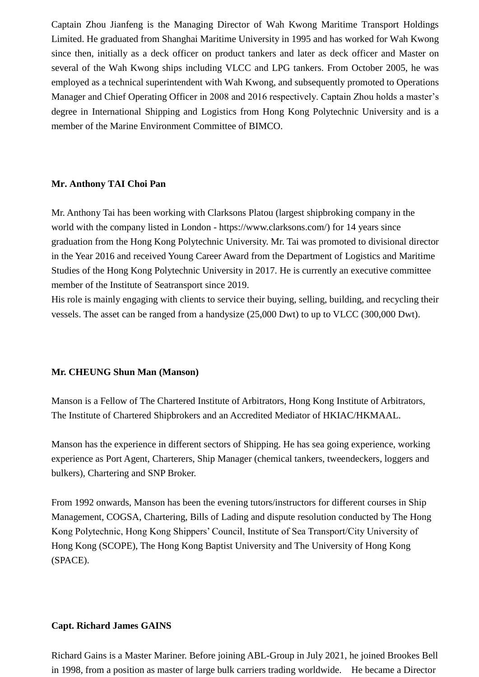Captain Zhou Jianfeng is the Managing Director of Wah Kwong Maritime Transport Holdings Limited. He graduated from Shanghai Maritime University in 1995 and has worked for Wah Kwong since then, initially as a deck officer on product tankers and later as deck officer and Master on several of the Wah Kwong ships including VLCC and LPG tankers. From October 2005, he was employed as a technical superintendent with Wah Kwong, and subsequently promoted to Operations Manager and Chief Operating Officer in 2008 and 2016 respectively. Captain Zhou holds a master's degree in International Shipping and Logistics from Hong Kong Polytechnic University and is a member of the Marine Environment Committee of BIMCO.

#### **Mr. Anthony TAI Choi Pan**

Mr. Anthony Tai has been working with Clarksons Platou (largest shipbroking company in the world with the company listed in London - https://www.clarksons.com/) for 14 years since graduation from the Hong Kong Polytechnic University. Mr. Tai was promoted to divisional director in the Year 2016 and received Young Career Award from the Department of Logistics and Maritime Studies of the Hong Kong Polytechnic University in 2017. He is currently an executive committee member of the Institute of Seatransport since 2019.

His role is mainly engaging with clients to service their buying, selling, building, and recycling their vessels. The asset can be ranged from a handysize (25,000 Dwt) to up to VLCC (300,000 Dwt).

#### **Mr. CHEUNG Shun Man (Manson)**

Manson is a Fellow of The Chartered Institute of Arbitrators, Hong Kong Institute of Arbitrators, The Institute of Chartered Shipbrokers and an Accredited Mediator of HKIAC/HKMAAL.

Manson has the experience in different sectors of Shipping. He has sea going experience, working experience as Port Agent, Charterers, Ship Manager (chemical tankers, tweendeckers, loggers and bulkers), Chartering and SNP Broker.

From 1992 onwards, Manson has been the evening tutors/instructors for different courses in Ship Management, COGSA, Chartering, Bills of Lading and dispute resolution conducted by The Hong Kong Polytechnic, Hong Kong Shippers' Council, Institute of Sea Transport/City University of Hong Kong (SCOPE), The Hong Kong Baptist University and The University of Hong Kong (SPACE).

#### **Capt. Richard James GAINS**

Richard Gains is a Master Mariner. Before joining ABL-Group in July 2021, he joined Brookes Bell in 1998, from a position as master of large bulk carriers trading worldwide. He became a Director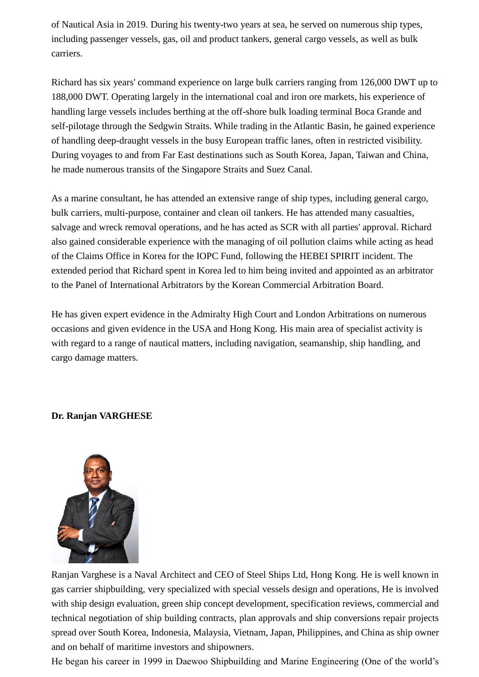of Nautical Asia in 2019. During his twenty-two years at sea, he served on numerous ship types, including passenger vessels, gas, oil and product tankers, general cargo vessels, as well as bulk carriers.

Richard has six years' command experience on large bulk carriers ranging from 126,000 DWT up to 188,000 DWT. Operating largely in the international coal and iron ore markets, his experience of handling large vessels includes berthing at the off-shore bulk loading terminal Boca Grande and self-pilotage through the Sedgwin Straits. While trading in the Atlantic Basin, he gained experience of handling deep-draught vessels in the busy European traffic lanes, often in restricted visibility. During voyages to and from Far East destinations such as South Korea, Japan, Taiwan and China, he made numerous transits of the Singapore Straits and Suez Canal.

As a marine consultant, he has attended an extensive range of ship types, including general cargo, bulk carriers, multi-purpose, container and clean oil tankers. He has attended many casualties, salvage and wreck removal operations, and he has acted as SCR with all parties' approval. Richard also gained considerable experience with the managing of oil pollution claims while acting as head of the Claims Office in Korea for the IOPC Fund, following the HEBEI SPIRIT incident. The extended period that Richard spent in Korea led to him being invited and appointed as an arbitrator to the Panel of International Arbitrators by the Korean Commercial Arbitration Board.

He has given expert evidence in the Admiralty High Court and London Arbitrations on numerous occasions and given evidence in the USA and Hong Kong. His main area of specialist activity is with regard to a range of nautical matters, including navigation, seamanship, ship handling, and cargo damage matters.

#### **Dr. Ranjan VARGHESE**



Ranjan Varghese is a Naval Architect and CEO of Steel Ships Ltd, Hong Kong. He is well known in gas carrier shipbuilding, very specialized with special vessels design and operations, He is involved with ship design evaluation, green ship concept development, specification reviews, commercial and technical negotiation of ship building contracts, plan approvals and ship conversions repair projects spread over South Korea, Indonesia, Malaysia, Vietnam, Japan, Philippines, and China as ship owner and on behalf of maritime investors and shipowners.

He began his career in 1999 in Daewoo Shipbuilding and Marine Engineering (One of the world's